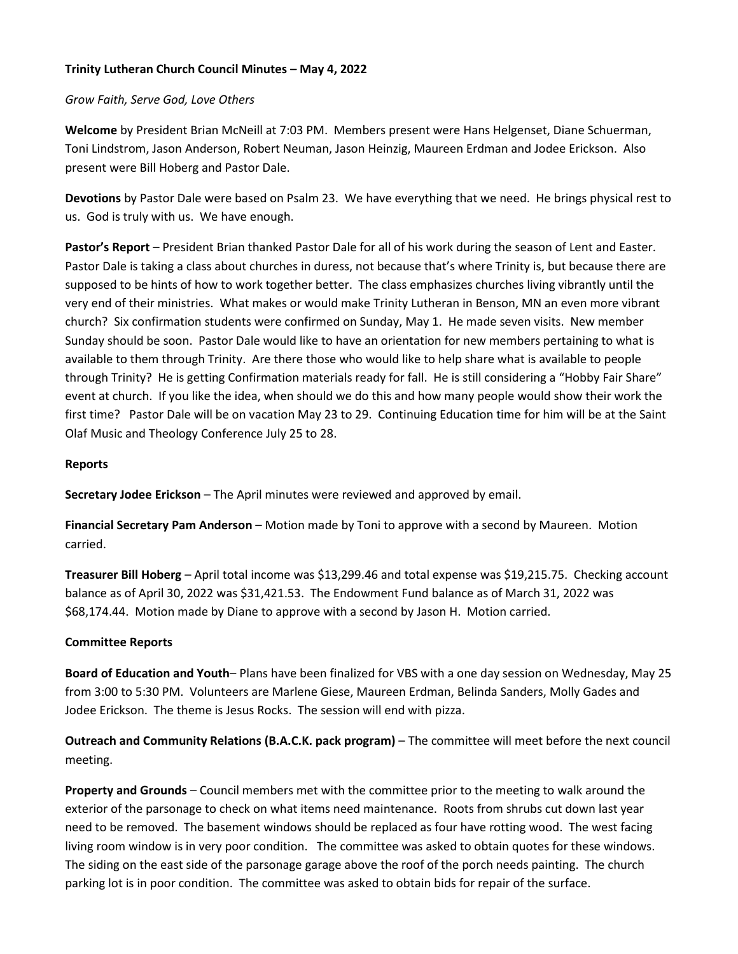# **Trinity Lutheran Church Council Minutes – May 4, 2022**

### *Grow Faith, Serve God, Love Others*

**Welcome** by President Brian McNeill at 7:03 PM. Members present were Hans Helgenset, Diane Schuerman, Toni Lindstrom, Jason Anderson, Robert Neuman, Jason Heinzig, Maureen Erdman and Jodee Erickson. Also present were Bill Hoberg and Pastor Dale.

**Devotions** by Pastor Dale were based on Psalm 23. We have everything that we need. He brings physical rest to us. God is truly with us. We have enough.

**Pastor's Report** – President Brian thanked Pastor Dale for all of his work during the season of Lent and Easter. Pastor Dale is taking a class about churches in duress, not because that's where Trinity is, but because there are supposed to be hints of how to work together better. The class emphasizes churches living vibrantly until the very end of their ministries. What makes or would make Trinity Lutheran in Benson, MN an even more vibrant church? Six confirmation students were confirmed on Sunday, May 1. He made seven visits. New member Sunday should be soon. Pastor Dale would like to have an orientation for new members pertaining to what is available to them through Trinity. Are there those who would like to help share what is available to people through Trinity? He is getting Confirmation materials ready for fall. He is still considering a "Hobby Fair Share" event at church. If you like the idea, when should we do this and how many people would show their work the first time? Pastor Dale will be on vacation May 23 to 29. Continuing Education time for him will be at the Saint Olaf Music and Theology Conference July 25 to 28.

### **Reports**

**Secretary Jodee Erickson** – The April minutes were reviewed and approved by email.

**Financial Secretary Pam Anderson** – Motion made by Toni to approve with a second by Maureen. Motion carried.

**Treasurer Bill Hoberg** – April total income was \$13,299.46 and total expense was \$19,215.75. Checking account balance as of April 30, 2022 was \$31,421.53. The Endowment Fund balance as of March 31, 2022 was \$68,174.44. Motion made by Diane to approve with a second by Jason H. Motion carried.

## **Committee Reports**

**Board of Education and Youth**– Plans have been finalized for VBS with a one day session on Wednesday, May 25 from 3:00 to 5:30 PM. Volunteers are Marlene Giese, Maureen Erdman, Belinda Sanders, Molly Gades and Jodee Erickson. The theme is Jesus Rocks. The session will end with pizza.

**Outreach and Community Relations (B.A.C.K. pack program)** – The committee will meet before the next council meeting.

**Property and Grounds** – Council members met with the committee prior to the meeting to walk around the exterior of the parsonage to check on what items need maintenance. Roots from shrubs cut down last year need to be removed. The basement windows should be replaced as four have rotting wood. The west facing living room window is in very poor condition. The committee was asked to obtain quotes for these windows. The siding on the east side of the parsonage garage above the roof of the porch needs painting. The church parking lot is in poor condition. The committee was asked to obtain bids for repair of the surface.